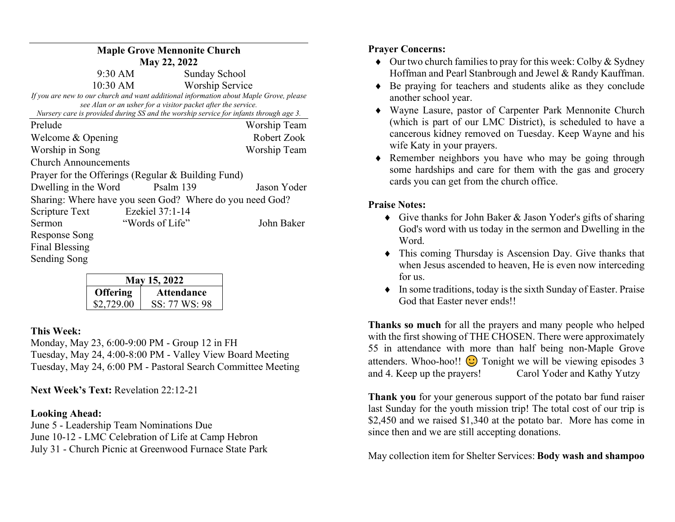| <b>Maple Grove Mennonite Church</b>                                                                                                                                                                                                             |                               |  |  |  |
|-------------------------------------------------------------------------------------------------------------------------------------------------------------------------------------------------------------------------------------------------|-------------------------------|--|--|--|
| May 22, 2022                                                                                                                                                                                                                                    |                               |  |  |  |
| 9:30 AM                                                                                                                                                                                                                                         | Sunday School                 |  |  |  |
| 10:30 AM                                                                                                                                                                                                                                        | <b>Worship Service</b>        |  |  |  |
| If you are new to our church and want additional information about Maple Grove, please<br>see Alan or an usher for a visitor packet after the service.<br>Nursery care is provided during SS and the worship service for infants through age 3. |                               |  |  |  |
| Prelude                                                                                                                                                                                                                                         | Worship Team                  |  |  |  |
| Welcome & Opening                                                                                                                                                                                                                               | Robert Zook                   |  |  |  |
| Worship in Song                                                                                                                                                                                                                                 | Worship Team                  |  |  |  |
| <b>Church Announcements</b>                                                                                                                                                                                                                     |                               |  |  |  |
| Prayer for the Offerings (Regular & Building Fund)                                                                                                                                                                                              |                               |  |  |  |
| Dwelling in the Word                                                                                                                                                                                                                            | Psalm 139<br>Jason Yoder      |  |  |  |
| Sharing: Where have you seen God? Where do you need God?                                                                                                                                                                                        |                               |  |  |  |
| Ezekiel 37:1-14<br>Scripture Text                                                                                                                                                                                                               |                               |  |  |  |
| Sermon                                                                                                                                                                                                                                          | "Words of Life"<br>John Baker |  |  |  |
| <b>Response Song</b>                                                                                                                                                                                                                            |                               |  |  |  |
| Final Blessing                                                                                                                                                                                                                                  |                               |  |  |  |
| Sending Song                                                                                                                                                                                                                                    |                               |  |  |  |

| May 15, 2022    |                   |  |
|-----------------|-------------------|--|
| <b>Offering</b> | <b>Attendance</b> |  |
| \$2,729.00      | SS: 77 WS: 98     |  |

## This Week:

Monday, May 23, 6:00-9:00 PM - Group 12 in FH Tuesday, May 24, 4:00-8:00 PM - Valley View Board Meeting Tuesday, May 24, 6:00 PM - Pastoral Search Committee Meeting

Next Week's Text: Revelation 22:12-21

## Looking Ahead:

June 5 - Leadership Team Nominations Due June 10-12 - LMC Celebration of Life at Camp Hebron July 31 - Church Picnic at Greenwood Furnace State Park

## Prayer Concerns:

- $\bullet$  Our two church families to pray for this week: Colby & Sydney Hoffman and Pearl Stanbrough and Jewel & Randy Kauffman.
- Be praying for teachers and students alike as they conclude another school year.
- Wayne Lasure, pastor of Carpenter Park Mennonite Church (which is part of our LMC District), is scheduled to have a cancerous kidney removed on Tuesday. Keep Wayne and his wife Katy in your prayers.
- Remember neighbors you have who may be going through some hardships and care for them with the gas and grocery cards you can get from the church office.

## Praise Notes:

- Give thanks for John Baker & Jason Yoder's gifts of sharing God's word with us today in the sermon and Dwelling in the Word.
- This coming Thursday is Ascension Day. Give thanks that when Jesus ascended to heaven, He is even now interceding for us.
- $\bullet$  In some traditions, today is the sixth Sunday of Easter. Praise God that Easter never ends!!

Thanks so much for all the prayers and many people who helped with the first showing of THE CHOSEN. There were approximately 55 in attendance with more than half being non-Maple Grove attenders. Whoo-hoo!!  $\bigodot$  Tonight we will be viewing episodes 3 and 4. Keep up the prayers! Carol Yoder and Kathy Yutzy

Thank you for your generous support of the potato bar fund raiser last Sunday for the youth mission trip! The total cost of our trip is \$2,450 and we raised \$1,340 at the potato bar. More has come in since then and we are still accepting donations.

May collection item for Shelter Services: Body wash and shampoo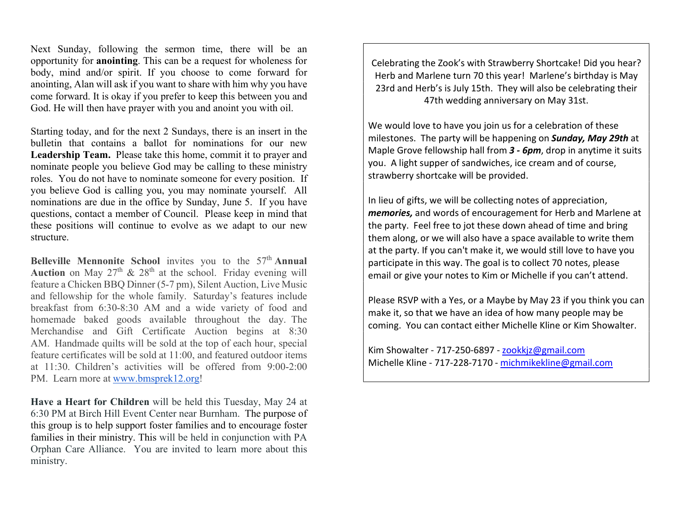Next Sunday, following the sermon time, there will be an opportunity for anointing. This can be a request for wholeness for body, mind and/or spirit. If you choose to come forward for anointing, Alan will ask if you want to share with him why you have come forward. It is okay if you prefer to keep this between you and God. He will then have prayer with you and anoint you with oil.

Starting today, and for the next 2 Sundays, there is an insert in the bulletin that contains a ballot for nominations for our new Leadership Team. Please take this home, commit it to prayer and nominate people you believe God may be calling to these ministry roles. You do not have to nominate someone for every position. If you believe God is calling you, you may nominate yourself. All nominations are due in the office by Sunday, June 5. If you have questions, contact a member of Council. Please keep in mind that these positions will continue to evolve as we adapt to our new structure.

Belleville Mennonite School invites you to the  $57<sup>th</sup>$  Annual Auction on May  $27<sup>th</sup>$  &  $28<sup>th</sup>$  at the school. Friday evening will feature a Chicken BBQ Dinner (5-7 pm), Silent Auction, Live Music and fellowship for the whole family. Saturday's features include breakfast from 6:30-8:30 AM and a wide variety of food and homemade baked goods available throughout the day. The Merchandise and Gift Certificate Auction begins at 8:30 AM. Handmade quilts will be sold at the top of each hour, special feature certificates will be sold at 11:00, and featured outdoor items at 11:30. Children's activities will be offered from 9:00-2:00 PM. Learn more at www.bmsprek12.org!

Have a Heart for Children will be held this Tuesday, May 24 at 6:30 PM at Birch Hill Event Center near Burnham. The purpose of this group is to help support foster families and to encourage foster families in their ministry. This will be held in conjunction with PA Orphan Care Alliance. You are invited to learn more about this ministry.

Celebrating the Zook's with Strawberry Shortcake! Did you hear? Herb and Marlene turn 70 this year! Marlene's birthday is May 23rd and Herb's is July 15th. They will also be celebrating their 47th wedding anniversary on May 31st.

We would love to have you join us for a celebration of these milestones. The party will be happening on Sunday, May 29th at Maple Grove fellowship hall from  $3 - 6$ pm, drop in anytime it suits you. A light supper of sandwiches, ice cream and of course, strawberry shortcake will be provided.

In lieu of gifts, we will be collecting notes of appreciation, memories, and words of encouragement for Herb and Marlene at the party. Feel free to jot these down ahead of time and bring them along, or we will also have a space available to write them at the party. If you can't make it, we would still love to have you participate in this way. The goal is to collect 70 notes, please email or give your notes to Kim or Michelle if you can't attend.

Please RSVP with a Yes, or a Maybe by May 23 if you think you can make it, so that we have an idea of how many people may be coming. You can contact either Michelle Kline or Kim Showalter.

Kim Showalter - 717-250-6897 - zookkjz@gmail.com Michelle Kline - 717-228-7170 - michmikekline@gmail.com